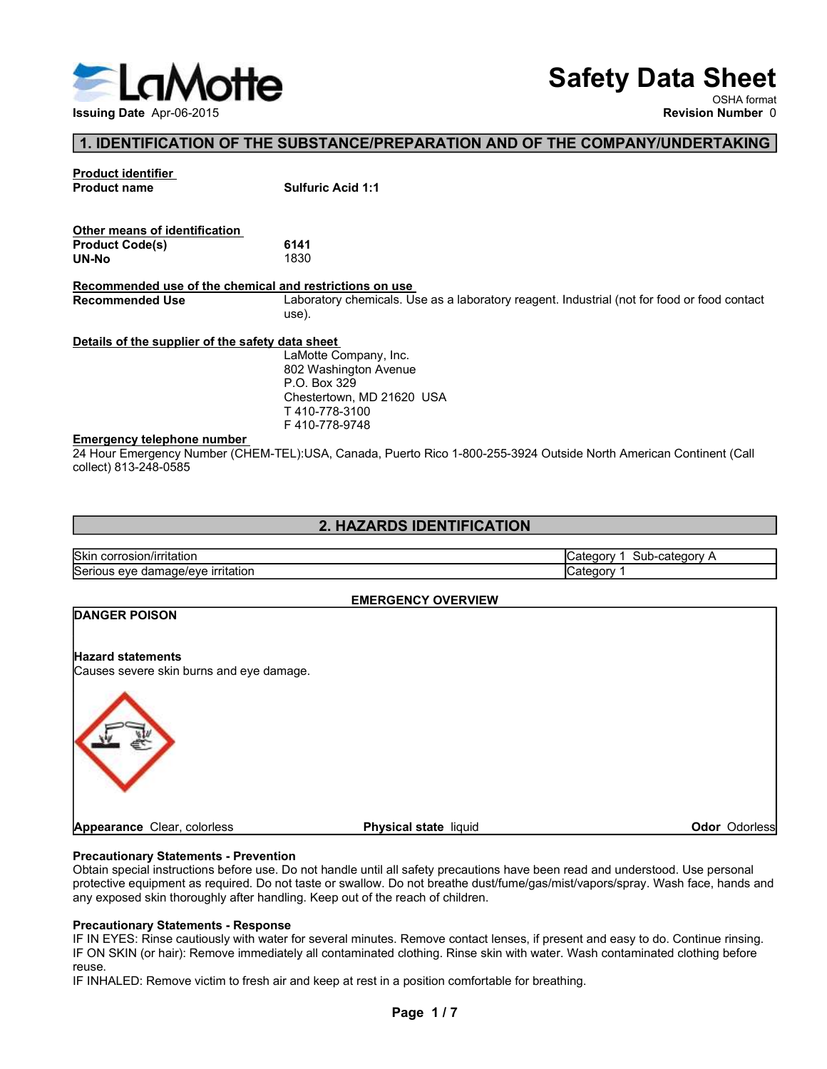

# Safety Data Sheet

## 1. IDENTIFICATION OF THE SUBSTANCE/PREPARATION AND OF THE COMPANY/UNDERTAKING

| ELaMotte                                                             | <b>Safety Data Sheet</b><br>OSHA format                                                                            |
|----------------------------------------------------------------------|--------------------------------------------------------------------------------------------------------------------|
| Issuing Date Apr-06-2015                                             | <b>Revision Number 0</b>                                                                                           |
|                                                                      | 1. IDENTIFICATION OF THE SUBSTANCE/PREPARATION AND OF THE COMPANY/UNDERTAKING                                      |
|                                                                      |                                                                                                                    |
| <b>Product identifier</b><br><b>Product name</b>                     | <b>Sulfuric Acid 1:1</b>                                                                                           |
|                                                                      |                                                                                                                    |
| Other means of identification                                        |                                                                                                                    |
| <b>Product Code(s)</b><br>UN-No                                      | 6141<br>1830                                                                                                       |
| Recommended use of the chemical and restrictions on use              |                                                                                                                    |
| <b>Recommended Use</b>                                               | Laboratory chemicals. Use as a laboratory reagent. Industrial (not for food or food contact<br>use).               |
| Details of the supplier of the safety data sheet                     |                                                                                                                    |
|                                                                      | LaMotte Company, Inc.                                                                                              |
|                                                                      | 802 Washington Avenue<br>P.O. Box 329                                                                              |
|                                                                      | Chestertown, MD 21620 USA<br>T410-778-3100                                                                         |
|                                                                      | F410-778-9748                                                                                                      |
| <b>Emergency telephone number</b><br>collect) 813-248-0585           | 24 Hour Emergency Number (CHEM-TEL):USA, Canada, Puerto Rico 1-800-255-3924 Outside North American Continent (Call |
|                                                                      |                                                                                                                    |
|                                                                      | 2. HAZARDS IDENTIFICATION                                                                                          |
| Skin corrosion/irritation                                            | Category 1 Sub-category A                                                                                          |
| Serious eye damage/eye irritation                                    | Category 1                                                                                                         |
|                                                                      | <b>EMERGENCY OVERVIEW</b>                                                                                          |
| <b>DANGER POISON</b>                                                 |                                                                                                                    |
|                                                                      |                                                                                                                    |
| <b>Hazard statements</b><br>Causes severe skin burns and eye damage. |                                                                                                                    |
|                                                                      |                                                                                                                    |
|                                                                      |                                                                                                                    |
|                                                                      |                                                                                                                    |

### 2. HAZARDS IDENTIFICATION

| <b>Skir</b><br>n/irritation<br>- COLLE<br>י וטוכט .            | sut<br>~~<br>aт<br>ale<br>$\sim$ 10 $\mu$ |
|----------------------------------------------------------------|-------------------------------------------|
| ∽<br>ırrıtatıon<br>- - -<br>nade/eve<br>aar<br>ьег<br>eve<br>. | aтe<br>eaor                               |

### EMERGENCY OVERVIEW

| Details of the supplier of the safety data sheet<br>LaMotte Company, Inc.<br>802 Washington Avenue<br>P.O. Box 329<br>Chestertown, MD 21620 USA<br>T410-778-3100<br>F410-778-9748<br>24 Hour Emergency Number (CHEM-TEL):USA, Canada, Puerto Rico 1-800-255-3924 Outside North American Continent (Call<br>2. HAZARDS IDENTIFICATION<br>Category 1 Sub-category A<br>Category 1<br><b>EMERGENCY OVERVIEW</b><br>Physical state liquid<br>Odor Odorless<br>Page 1/7                                                                                                                                                                                                                                                                                                                                                                                                                                                                                                                                       |                                                            |  |
|----------------------------------------------------------------------------------------------------------------------------------------------------------------------------------------------------------------------------------------------------------------------------------------------------------------------------------------------------------------------------------------------------------------------------------------------------------------------------------------------------------------------------------------------------------------------------------------------------------------------------------------------------------------------------------------------------------------------------------------------------------------------------------------------------------------------------------------------------------------------------------------------------------------------------------------------------------------------------------------------------------|------------------------------------------------------------|--|
| Skin corrosion/irritation<br>Serious eye damage/eye irritation<br><b>DANGER POISON</b><br>Causes severe skin burns and eye damage.<br>Appearance Clear, colorless<br><b>Precautionary Statements - Prevention</b><br>Obtain special instructions before use. Do not handle until all safety precautions have been read and understood. Use personal<br>protective equipment as required. Do not taste or swallow. Do not breathe dust/fume/gas/mist/vapors/spray. Wash face, hands and<br>any exposed skin thoroughly after handling. Keep out of the reach of children.<br><b>Precautionary Statements - Response</b><br>IF IN EYES: Rinse cautiously with water for several minutes. Remove contact lenses, if present and easy to do. Continue rinsing.<br>IF ON SKIN (or hair): Remove immediately all contaminated clothing. Rinse skin with water. Wash contaminated clothing before<br>reuse.<br>IF INHALED: Remove victim to fresh air and keep at rest in a position comfortable for breathing. | <b>Emergency telephone number</b><br>collect) 813-248-0585 |  |
|                                                                                                                                                                                                                                                                                                                                                                                                                                                                                                                                                                                                                                                                                                                                                                                                                                                                                                                                                                                                          |                                                            |  |
|                                                                                                                                                                                                                                                                                                                                                                                                                                                                                                                                                                                                                                                                                                                                                                                                                                                                                                                                                                                                          |                                                            |  |
|                                                                                                                                                                                                                                                                                                                                                                                                                                                                                                                                                                                                                                                                                                                                                                                                                                                                                                                                                                                                          |                                                            |  |
|                                                                                                                                                                                                                                                                                                                                                                                                                                                                                                                                                                                                                                                                                                                                                                                                                                                                                                                                                                                                          |                                                            |  |
|                                                                                                                                                                                                                                                                                                                                                                                                                                                                                                                                                                                                                                                                                                                                                                                                                                                                                                                                                                                                          |                                                            |  |
|                                                                                                                                                                                                                                                                                                                                                                                                                                                                                                                                                                                                                                                                                                                                                                                                                                                                                                                                                                                                          |                                                            |  |
|                                                                                                                                                                                                                                                                                                                                                                                                                                                                                                                                                                                                                                                                                                                                                                                                                                                                                                                                                                                                          |                                                            |  |
|                                                                                                                                                                                                                                                                                                                                                                                                                                                                                                                                                                                                                                                                                                                                                                                                                                                                                                                                                                                                          | <b>Hazard statements</b>                                   |  |
|                                                                                                                                                                                                                                                                                                                                                                                                                                                                                                                                                                                                                                                                                                                                                                                                                                                                                                                                                                                                          |                                                            |  |
|                                                                                                                                                                                                                                                                                                                                                                                                                                                                                                                                                                                                                                                                                                                                                                                                                                                                                                                                                                                                          |                                                            |  |
|                                                                                                                                                                                                                                                                                                                                                                                                                                                                                                                                                                                                                                                                                                                                                                                                                                                                                                                                                                                                          |                                                            |  |
|                                                                                                                                                                                                                                                                                                                                                                                                                                                                                                                                                                                                                                                                                                                                                                                                                                                                                                                                                                                                          |                                                            |  |
|                                                                                                                                                                                                                                                                                                                                                                                                                                                                                                                                                                                                                                                                                                                                                                                                                                                                                                                                                                                                          |                                                            |  |
|                                                                                                                                                                                                                                                                                                                                                                                                                                                                                                                                                                                                                                                                                                                                                                                                                                                                                                                                                                                                          |                                                            |  |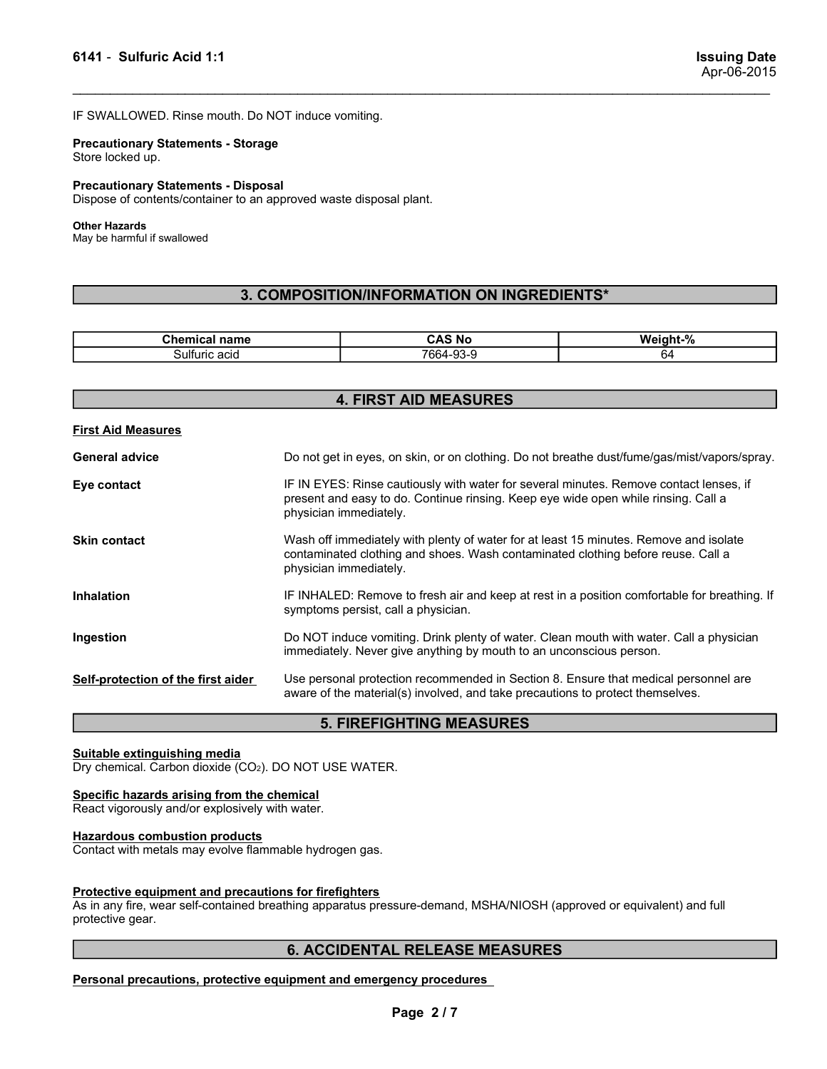Example 1:1<br>
In the United California of the United States of the United States Apr-06-2015<br>
IF SWALLOWED. Rinse mouth. Do NOT induce vomiting.<br>
Precautionary Statements - Storage Salt - Sulfuric Acid 1:1<br>
IF SWALLOWED. Rinse mouth. Do NOT induce vomiting.<br>
IF SWALLOWED. Rinse mouth. Do NOT induce vomiting.<br>
Precautionary Statements - Storage<br>
Store locked up.<br>
Precautionary Statements - Disposal<br>
D

6141 - Sulfuric Acid 1:1<br>
F SWALLOWED. Rinse mouth. Do NOT induce vomiting.<br>
Precautionary Statements - Storage<br>
Store locked up.<br>
Precautionary Statements - Disposal<br>
Dispose of contents/container to an approved waste dis 6141 - Sulfuric Acid 1:1<br>IF SWALLOWED. Rinse mouth. Do NOT induce vomiting.<br>Precautionary Statements - Storage<br>Store locked up.<br>Precautionary Statements - Disposal<br>Dispose of contents/container to an approved waste disposa 6141 - Sulfuric Acid 1:1<br>IF SWALLOWED. Rinse mouth. Do NOT induce vomiting.<br>Precautionary Statements - Storage<br>Store locked up.<br>Precautionary Statements - Disposal<br>Dispose of contents/container to an approved waste disposa Sulfuric Acid 1:1<br>
IF SWALLOWED. Rinse mouth. Do NOT induce vomiting.<br>
IF SWALLOWED. Rinse mouth. Do NOT induce vomiting.<br>
Precautionary Statements - Storage<br>
Store locked up.<br>
Precautionary Statements - Disposal<br>
Dispose

### Other Hazards

### 3. COMPOSITION/INFORMATION ON INGREDIENTS\*

| <b>The contract</b><br>name<br>.nr | <b>AC</b><br>. N4       | . . 0/<br>۱M۰<br>.<br>70 |
|------------------------------------|-------------------------|--------------------------|
| ′ ulturicے<br>: acıq               | 7664-9.<br>$\sim$<br>-- | <u>hд</u>                |

| 6141 - Sulfuric Acid 1:1                                                                                         |                                                                                                                                                                                                        | <b>Issuing Date</b><br>Apr-06-2015 |  |
|------------------------------------------------------------------------------------------------------------------|--------------------------------------------------------------------------------------------------------------------------------------------------------------------------------------------------------|------------------------------------|--|
| IF SWALLOWED. Rinse mouth. Do NOT induce vomiting.                                                               |                                                                                                                                                                                                        |                                    |  |
| <b>Precautionary Statements - Storage</b><br>Store locked up.                                                    |                                                                                                                                                                                                        |                                    |  |
| <b>Precautionary Statements - Disposal</b><br>Dispose of contents/container to an approved waste disposal plant. |                                                                                                                                                                                                        |                                    |  |
| <b>Other Hazards</b><br>May be harmful if swallowed                                                              |                                                                                                                                                                                                        |                                    |  |
|                                                                                                                  | 3. COMPOSITION/INFORMATION ON INGREDIENTS*                                                                                                                                                             |                                    |  |
| <b>Chemical name</b>                                                                                             | <b>CAS No</b>                                                                                                                                                                                          | Weight-%                           |  |
| Sulfuric acid                                                                                                    | 7664-93-9                                                                                                                                                                                              | 64                                 |  |
|                                                                                                                  | <b>4. FIRST AID MEASURES</b>                                                                                                                                                                           |                                    |  |
| <b>First Aid Measures</b>                                                                                        |                                                                                                                                                                                                        |                                    |  |
| <b>General advice</b>                                                                                            | Do not get in eyes, on skin, or on clothing. Do not breathe dust/fume/gas/mist/vapors/spray.                                                                                                           |                                    |  |
| Eye contact                                                                                                      | IF IN EYES: Rinse cautiously with water for several minutes. Remove contact lenses, if<br>present and easy to do. Continue rinsing. Keep eye wide open while rinsing. Call a<br>physician immediately. |                                    |  |
| Skin contact                                                                                                     | Wash off immediately with plenty of water for at least 15 minutes. Remove and isolate<br>contaminated clothing and shoes. Wash contaminated clothing before reuse. Call a<br>physician immediately.    |                                    |  |
| Inhalation                                                                                                       | IF INHALED: Remove to fresh air and keep at rest in a position comfortable for breathing. If<br>symptoms persist, call a physician.                                                                    |                                    |  |
| Ingestion                                                                                                        | Do NOT induce vomiting. Drink plenty of water. Clean mouth with water. Call a physician<br>immediately. Never give anything by mouth to an unconscious person.                                         |                                    |  |
| Self-protection of the first aider                                                                               | Use personal protection recommended in Section 8. Ensure that medical personnel are<br>aware of the material(s) involved, and take precautions to protect themselves.                                  |                                    |  |
|                                                                                                                  | <b>5. FIREFIGHTING MEASURES</b>                                                                                                                                                                        |                                    |  |
| Suitable extinguishing media<br>Dry chemical. Carbon dioxide (CO2). DO NOT USE WATER.                            |                                                                                                                                                                                                        |                                    |  |
| Specific hazards arising from the chemical<br>React vigorously and/or explosively with water.                    |                                                                                                                                                                                                        |                                    |  |
| <b>Hazardous combustion products</b><br>Contact with metals may evolve flammable hydrogen gas.                   |                                                                                                                                                                                                        |                                    |  |
| Protective equipment and precautions for firefighters<br>protective gear.                                        | As in any fire, wear self-contained breathing apparatus pressure-demand, MSHA/NIOSH (approved or equivalent) and full                                                                                  |                                    |  |
|                                                                                                                  | <b>6. ACCIDENTAL RELEASE MEASURES</b>                                                                                                                                                                  |                                    |  |
|                                                                                                                  | Personal precautions, protective equipment and emergency procedures                                                                                                                                    |                                    |  |
|                                                                                                                  | Page 2/7                                                                                                                                                                                               |                                    |  |
|                                                                                                                  |                                                                                                                                                                                                        |                                    |  |
|                                                                                                                  |                                                                                                                                                                                                        |                                    |  |
|                                                                                                                  |                                                                                                                                                                                                        |                                    |  |

## 5. FIREFIGHTING MEASURES

### 6. ACCIDENTAL RELEASE MEASURES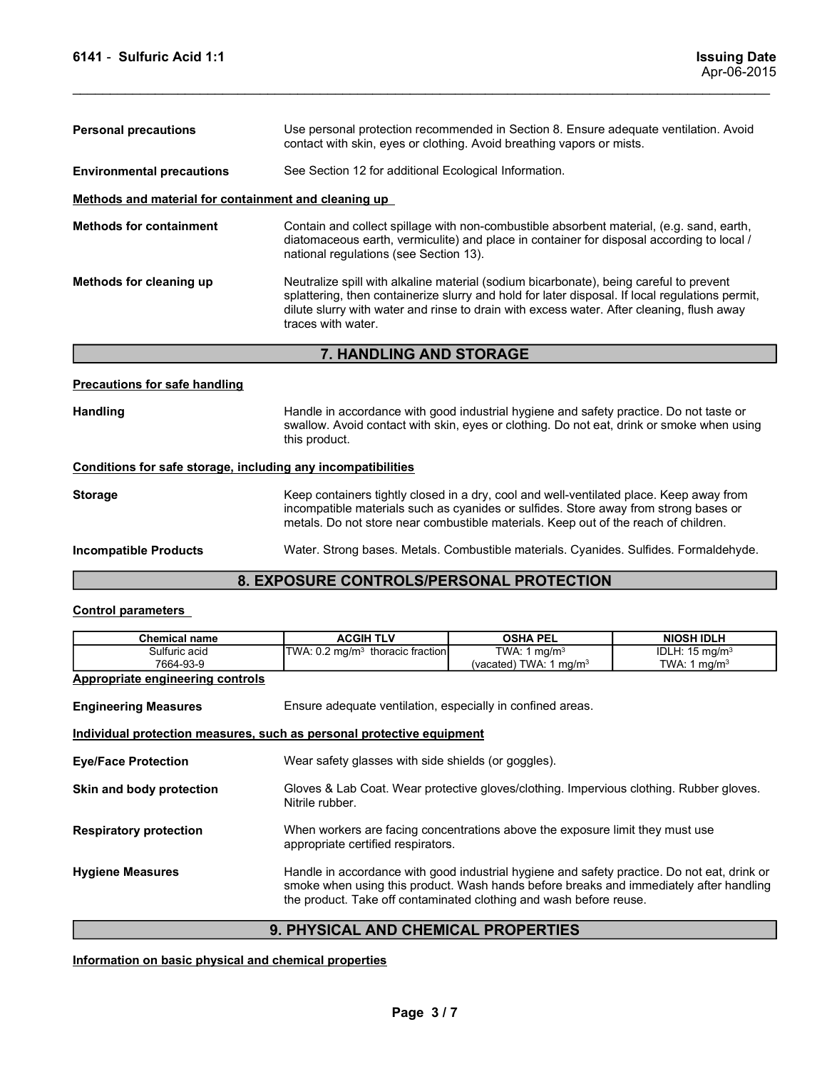| 6141 - Sulfuric Acid 1:1                                     |                                                                                                                                                                                                                                                                                                              |                                            | <b>Issuing Date</b><br>Apr-06-2015              |  |  |
|--------------------------------------------------------------|--------------------------------------------------------------------------------------------------------------------------------------------------------------------------------------------------------------------------------------------------------------------------------------------------------------|--------------------------------------------|-------------------------------------------------|--|--|
| <b>Personal precautions</b>                                  | Use personal protection recommended in Section 8. Ensure adequate ventilation. Avoid<br>contact with skin, eyes or clothing. Avoid breathing vapors or mists.                                                                                                                                                |                                            |                                                 |  |  |
| <b>Environmental precautions</b>                             | See Section 12 for additional Ecological Information.                                                                                                                                                                                                                                                        |                                            |                                                 |  |  |
| Methods and material for containment and cleaning up         |                                                                                                                                                                                                                                                                                                              |                                            |                                                 |  |  |
| <b>Methods for containment</b>                               | Contain and collect spillage with non-combustible absorbent material, (e.g. sand, earth,<br>diatomaceous earth, vermiculite) and place in container for disposal according to local /<br>national regulations (see Section 13).                                                                              |                                            |                                                 |  |  |
| Methods for cleaning up                                      | Neutralize spill with alkaline material (sodium bicarbonate), being careful to prevent<br>splattering, then containerize slurry and hold for later disposal. If local regulations permit,<br>dilute slurry with water and rinse to drain with excess water. After cleaning, flush away<br>traces with water. |                                            |                                                 |  |  |
|                                                              | 7. HANDLING AND STORAGE                                                                                                                                                                                                                                                                                      |                                            |                                                 |  |  |
| <b>Precautions for safe handling</b>                         |                                                                                                                                                                                                                                                                                                              |                                            |                                                 |  |  |
|                                                              | Handle in accordance with good industrial hygiene and safety practice. Do not taste or                                                                                                                                                                                                                       |                                            |                                                 |  |  |
| <b>Handling</b>                                              | swallow. Avoid contact with skin, eyes or clothing. Do not eat, drink or smoke when using<br>this product.                                                                                                                                                                                                   |                                            |                                                 |  |  |
| Conditions for safe storage, including any incompatibilities |                                                                                                                                                                                                                                                                                                              |                                            |                                                 |  |  |
| <b>Storage</b>                                               | Keep containers tightly closed in a dry, cool and well-ventilated place. Keep away from<br>incompatible materials such as cyanides or sulfides. Store away from strong bases or<br>metals. Do not store near combustible materials. Keep out of the reach of children.                                       |                                            |                                                 |  |  |
| <b>Incompatible Products</b>                                 | Water. Strong bases. Metals. Combustible materials. Cyanides. Sulfides. Formaldehyde.                                                                                                                                                                                                                        |                                            |                                                 |  |  |
|                                                              | 8. EXPOSURE CONTROLS/PERSONAL PROTECTION                                                                                                                                                                                                                                                                     |                                            |                                                 |  |  |
| <b>Control parameters</b>                                    |                                                                                                                                                                                                                                                                                                              |                                            |                                                 |  |  |
| <b>Chemical name</b><br>Sulfuric acid                        | <b>ACGIH TLV</b><br>TWA: 0.2 mg/m <sup>3</sup> thoracic fraction                                                                                                                                                                                                                                             | <b>OSHA PEL</b><br>TWA: $1 \text{ mg/m}^3$ | <b>NIOSH IDLH</b><br>IDLH: 15 mg/m <sup>3</sup> |  |  |

# 7. HANDLING AND STORAGE

| <b>Storage</b>               | Keep containers tightly closed in a dry, cool and well-ventilated place. Keep away from<br>incompatible materials such as cyanides or sulfides. Store away from strong bases or<br>metals. Do not store near combustible materials. Keep out of the reach of children. |
|------------------------------|------------------------------------------------------------------------------------------------------------------------------------------------------------------------------------------------------------------------------------------------------------------------|
| <b>Incompatible Products</b> | Water, Strong bases, Metals, Combustible materials, Cyanides, Sulfides, Formaldehyde,                                                                                                                                                                                  |

# 8. EXPOSURE CONTROLS/PERSONAL PROTECTION

|                                                              | roadaileo opin with amalino matonar (oodiam biodrbonato), bollig odi olar to provont<br>splattering, then containerize slurry and hold for later disposal. If local regulations permit,<br>dilute slurry with water and rinse to drain with excess water. After cleaning, flush away<br>traces with water. |                                                                               |                                              |  |  |  |
|--------------------------------------------------------------|------------------------------------------------------------------------------------------------------------------------------------------------------------------------------------------------------------------------------------------------------------------------------------------------------------|-------------------------------------------------------------------------------|----------------------------------------------|--|--|--|
|                                                              | 7. HANDLING AND STORAGE                                                                                                                                                                                                                                                                                    |                                                                               |                                              |  |  |  |
| <b>Precautions for safe handling</b>                         |                                                                                                                                                                                                                                                                                                            |                                                                               |                                              |  |  |  |
| <b>Handling</b>                                              | Handle in accordance with good industrial hygiene and safety practice. Do not taste or<br>swallow. Avoid contact with skin, eyes or clothing. Do not eat, drink or smoke when using<br>this product.                                                                                                       |                                                                               |                                              |  |  |  |
| Conditions for safe storage, including any incompatibilities |                                                                                                                                                                                                                                                                                                            |                                                                               |                                              |  |  |  |
| <b>Storage</b>                                               | Keep containers tightly closed in a dry, cool and well-ventilated place. Keep away from<br>incompatible materials such as cyanides or sulfides. Store away from strong bases or<br>metals. Do not store near combustible materials. Keep out of the reach of children.                                     |                                                                               |                                              |  |  |  |
| <b>Incompatible Products</b>                                 | Water. Strong bases. Metals. Combustible materials. Cyanides. Sulfides. Formaldehyde.                                                                                                                                                                                                                      |                                                                               |                                              |  |  |  |
|                                                              | 8. EXPOSURE CONTROLS/PERSONAL PROTECTION                                                                                                                                                                                                                                                                   |                                                                               |                                              |  |  |  |
| <b>Control parameters</b>                                    |                                                                                                                                                                                                                                                                                                            |                                                                               |                                              |  |  |  |
| <b>Chemical name</b>                                         | <b>ACGIH TLV</b>                                                                                                                                                                                                                                                                                           | <b>OSHA PEL</b>                                                               | <b>NIOSH IDLH</b>                            |  |  |  |
| Sulfuric acid<br>7664-93-9                                   | TWA: 0.2 mg/m <sup>3</sup> thoracic fraction                                                                                                                                                                                                                                                               | TWA: $1 \text{ mg/m}^3$<br>(vacated) TWA: $1 \text{ mg/m}^3$                  | IDLH: 15 mg/m <sup>3</sup><br>TWA: 1 $mg/m3$ |  |  |  |
| <b>Appropriate engineering controls</b>                      |                                                                                                                                                                                                                                                                                                            |                                                                               |                                              |  |  |  |
| <b>Engineering Measures</b>                                  | Ensure adequate ventilation, especially in confined areas.                                                                                                                                                                                                                                                 |                                                                               |                                              |  |  |  |
|                                                              | Individual protection measures, such as personal protective equipment                                                                                                                                                                                                                                      |                                                                               |                                              |  |  |  |
| <b>Eye/Face Protection</b>                                   | Wear safety glasses with side shields (or goggles).                                                                                                                                                                                                                                                        |                                                                               |                                              |  |  |  |
| Skin and body protection                                     | Gloves & Lab Coat. Wear protective gloves/clothing. Impervious clothing. Rubber gloves.<br>Nitrile rubber.                                                                                                                                                                                                 |                                                                               |                                              |  |  |  |
| <b>Respiratory protection</b>                                | appropriate certified respirators.                                                                                                                                                                                                                                                                         | When workers are facing concentrations above the exposure limit they must use |                                              |  |  |  |
| <b>Hygiene Measures</b>                                      | Handle in accordance with good industrial hygiene and safety practice. Do not eat, drink or<br>smoke when using this product. Wash hands before breaks and immediately after handling<br>the product. Take off contaminated clothing and wash before reuse.                                                |                                                                               |                                              |  |  |  |
|                                                              | 9. PHYSICAL AND CHEMICAL PROPERTIES                                                                                                                                                                                                                                                                        |                                                                               |                                              |  |  |  |
| Information on basic physical and chemical properties        |                                                                                                                                                                                                                                                                                                            |                                                                               |                                              |  |  |  |
|                                                              |                                                                                                                                                                                                                                                                                                            |                                                                               |                                              |  |  |  |
|                                                              |                                                                                                                                                                                                                                                                                                            |                                                                               |                                              |  |  |  |
|                                                              | Page 3/7                                                                                                                                                                                                                                                                                                   |                                                                               |                                              |  |  |  |
|                                                              |                                                                                                                                                                                                                                                                                                            |                                                                               |                                              |  |  |  |
|                                                              |                                                                                                                                                                                                                                                                                                            |                                                                               |                                              |  |  |  |
|                                                              |                                                                                                                                                                                                                                                                                                            |                                                                               |                                              |  |  |  |

# 9. PHYSICAL AND CHEMICAL PROPERTIES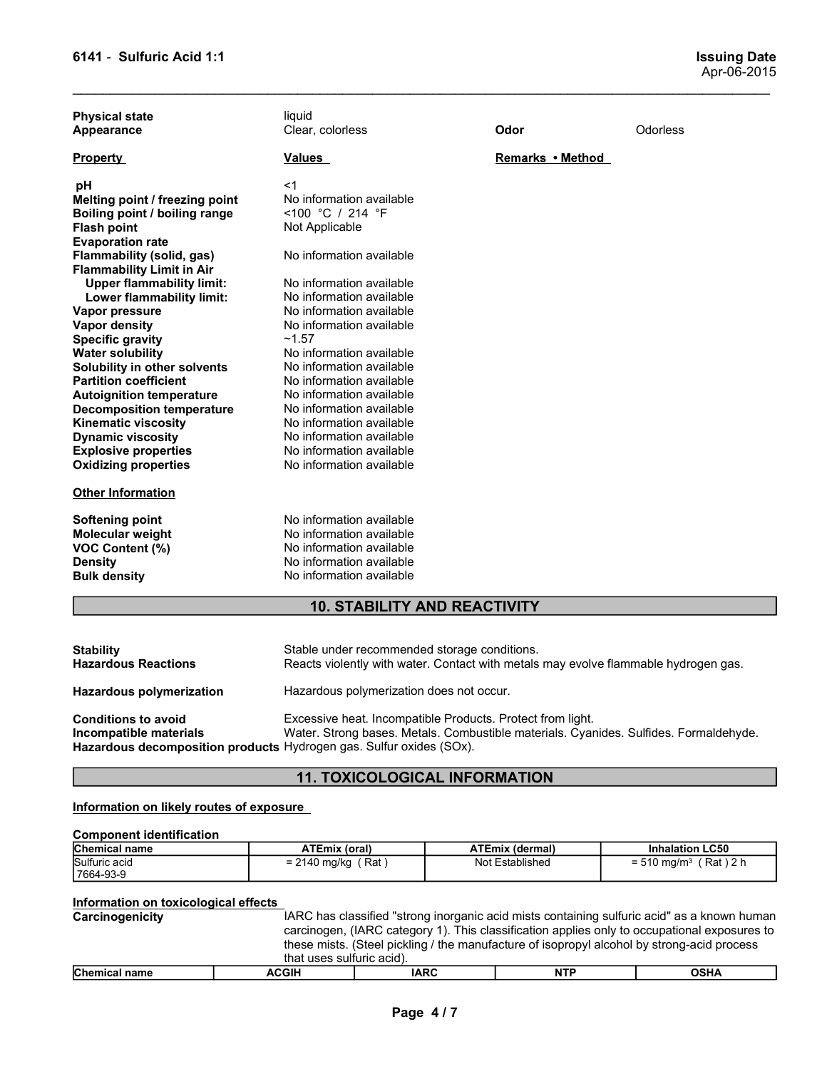| 6141 - Sulfuric Acid 1:1                                                                                                                                                                                                                                                               |                                                                                                                                                                                                                                                          |                                                                                     | <b>Issuing Date</b><br>Apr-06-2015                                                                                                                                                          |
|----------------------------------------------------------------------------------------------------------------------------------------------------------------------------------------------------------------------------------------------------------------------------------------|----------------------------------------------------------------------------------------------------------------------------------------------------------------------------------------------------------------------------------------------------------|-------------------------------------------------------------------------------------|---------------------------------------------------------------------------------------------------------------------------------------------------------------------------------------------|
| <b>Physical state</b><br><b>Appearance</b>                                                                                                                                                                                                                                             | liquid<br>Clear, colorless                                                                                                                                                                                                                               | Odor                                                                                | Odorless                                                                                                                                                                                    |
| <b>Property</b>                                                                                                                                                                                                                                                                        | <u>Values</u>                                                                                                                                                                                                                                            | Remarks • Method                                                                    |                                                                                                                                                                                             |
| рH<br>Melting point / freezing point<br>Boiling point / boiling range<br><b>Flash point</b><br><b>Evaporation rate</b><br>Flammability (solid, gas)                                                                                                                                    | <1<br>No information available<br><100 °C / 214 °F<br>Not Applicable<br>No information available                                                                                                                                                         |                                                                                     |                                                                                                                                                                                             |
| <b>Flammability Limit in Air</b><br><b>Upper flammability limit:</b><br>Lower flammability limit:<br>Vapor pressure<br>Vapor density<br><b>Specific gravity</b>                                                                                                                        | No information available<br>No information available<br>No information available<br>No information available<br>~1.57                                                                                                                                    |                                                                                     |                                                                                                                                                                                             |
| <b>Water solubility</b><br>Solubility in other solvents<br><b>Partition coefficient</b><br><b>Autoignition temperature</b><br><b>Decomposition temperature</b><br><b>Kinematic viscosity</b><br><b>Dynamic viscosity</b><br><b>Explosive properties</b><br><b>Oxidizing properties</b> | No information available<br>No information available<br>No information available<br>No information available<br>No information available<br>No information available<br>No information available<br>No information available<br>No information available |                                                                                     |                                                                                                                                                                                             |
| <b>Other Information</b>                                                                                                                                                                                                                                                               |                                                                                                                                                                                                                                                          |                                                                                     |                                                                                                                                                                                             |
| <b>Softening point</b><br><b>Molecular weight</b><br>VOC Content (%)<br><b>Density</b><br><b>Bulk density</b>                                                                                                                                                                          | No information available<br>No information available<br>No information available<br>No information available<br>No information available                                                                                                                 |                                                                                     |                                                                                                                                                                                             |
|                                                                                                                                                                                                                                                                                        | <b>10. STABILITY AND REACTIVITY</b>                                                                                                                                                                                                                      |                                                                                     |                                                                                                                                                                                             |
| <b>Stability</b><br><b>Hazardous Reactions</b>                                                                                                                                                                                                                                         | Stable under recommended storage conditions.                                                                                                                                                                                                             | Reacts violently with water. Contact with metals may evolve flammable hydrogen gas. |                                                                                                                                                                                             |
| Hazardous polymerization                                                                                                                                                                                                                                                               | Hazardous polymerization does not occur.                                                                                                                                                                                                                 |                                                                                     |                                                                                                                                                                                             |
| <b>Conditions to avoid</b><br>Incompatible materials<br>Hazardous decomposition products Hydrogen gas. Sulfur oxides (SOx).                                                                                                                                                            |                                                                                                                                                                                                                                                          | Excessive heat. Incompatible Products. Protect from light.                          | Water. Strong bases. Metals. Combustible materials. Cyanides. Sulfides. Formaldehyde.                                                                                                       |
|                                                                                                                                                                                                                                                                                        | <b>11. TOXICOLOGICAL INFORMATION</b>                                                                                                                                                                                                                     |                                                                                     |                                                                                                                                                                                             |
| Information on likely routes of exposure                                                                                                                                                                                                                                               |                                                                                                                                                                                                                                                          |                                                                                     |                                                                                                                                                                                             |
| <b>Component identification</b>                                                                                                                                                                                                                                                        |                                                                                                                                                                                                                                                          |                                                                                     |                                                                                                                                                                                             |
| Chemical name<br>Sulfuric acid<br>7664-93-9                                                                                                                                                                                                                                            | <b>ATEmix (oral)</b><br>$= 2140$ mg/kg (Rat)                                                                                                                                                                                                             | <b>ATEmix (dermal)</b><br>Not Established                                           | <b>Inhalation LC50</b><br>$= 510$ mg/m <sup>3</sup> (Rat) 2 h                                                                                                                               |
| Information on toxicological effects<br>Carcinogenicity                                                                                                                                                                                                                                | these mists. (Steel pickling / the manufacture of isopropyl alcohol by strong-acid process                                                                                                                                                               |                                                                                     | IARC has classified "strong inorganic acid mists containing sulfuric acid" as a known human<br>carcinogen, (IARC category 1). This classification applies only to occupational exposures to |

| <b>Density</b><br><b>Bulk density</b>                                                                                       | No information available  |                                                                                                                                     |                        |                                                                                                                                                                                                                                                                                           |  |  |  |
|-----------------------------------------------------------------------------------------------------------------------------|---------------------------|-------------------------------------------------------------------------------------------------------------------------------------|------------------------|-------------------------------------------------------------------------------------------------------------------------------------------------------------------------------------------------------------------------------------------------------------------------------------------|--|--|--|
|                                                                                                                             | No information available  |                                                                                                                                     |                        |                                                                                                                                                                                                                                                                                           |  |  |  |
|                                                                                                                             |                           | <b>10. STABILITY AND REACTIVITY</b>                                                                                                 |                        |                                                                                                                                                                                                                                                                                           |  |  |  |
| <b>Stability</b><br><b>Hazardous Reactions</b>                                                                              |                           | Stable under recommended storage conditions.<br>Reacts violently with water. Contact with metals may evolve flammable hydrogen gas. |                        |                                                                                                                                                                                                                                                                                           |  |  |  |
| Hazardous polymerization                                                                                                    |                           | Hazardous polymerization does not occur.                                                                                            |                        |                                                                                                                                                                                                                                                                                           |  |  |  |
| <b>Conditions to avoid</b><br>Incompatible materials<br>Hazardous decomposition products Hydrogen gas. Sulfur oxides (SOx). |                           | Excessive heat. Incompatible Products. Protect from light.                                                                          |                        | Water. Strong bases. Metals. Combustible materials. Cyanides. Sulfides. Formaldehyde.                                                                                                                                                                                                     |  |  |  |
|                                                                                                                             |                           | <b>11. TOXICOLOGICAL INFORMATION</b>                                                                                                |                        |                                                                                                                                                                                                                                                                                           |  |  |  |
| Information on likely routes of exposure                                                                                    |                           |                                                                                                                                     |                        |                                                                                                                                                                                                                                                                                           |  |  |  |
| <b>Component identification</b>                                                                                             |                           |                                                                                                                                     |                        |                                                                                                                                                                                                                                                                                           |  |  |  |
| Chemical name                                                                                                               | <b>ATEmix (oral)</b>      |                                                                                                                                     | <b>ATEmix (dermal)</b> | <b>Inhalation LC50</b>                                                                                                                                                                                                                                                                    |  |  |  |
| Sulfuric acid<br>7664-93-9                                                                                                  | $= 2140$ mg/kg (Rat)      |                                                                                                                                     | Not Established        | $= 510$ mg/m <sup>3</sup> (Rat) 2 h                                                                                                                                                                                                                                                       |  |  |  |
| Information on toxicological effects                                                                                        |                           |                                                                                                                                     |                        |                                                                                                                                                                                                                                                                                           |  |  |  |
| Carcinogenicity                                                                                                             | that uses sulfuric acid). |                                                                                                                                     |                        | IARC has classified "strong inorganic acid mists containing sulfuric acid" as a known human<br>carcinogen, (IARC category 1). This classification applies only to occupational exposures to<br>these mists. (Steel pickling / the manufacture of isopropyl alcohol by strong-acid process |  |  |  |
| <b>Chemical name</b>                                                                                                        | <b>ACGIH</b>              | <b>IARC</b>                                                                                                                         | <b>NTP</b>             | <b>OSHA</b>                                                                                                                                                                                                                                                                               |  |  |  |

# 11. TOXICOLOGICAL INFORMATION

| Component identification |                                                                          |                           |                                                                     |  |  |  |
|--------------------------|--------------------------------------------------------------------------|---------------------------|---------------------------------------------------------------------|--|--|--|
| <b>Chemical name</b>     | <b>ATEmix (oral)</b>                                                     | ATEmix (dermal)           | <b>Inhalation LC50</b>                                              |  |  |  |
| Sulfuric acid            | Rat<br>$-21$<br>$\overline{1}$<br>2140 mg/kg<br>$\overline{\phantom{0}}$ | <b>Not</b><br>Established | $\lambda$ 2 h<br>Rat<br>m <sub>o</sub><br>$= 510$ ma/m $\mathrm{s}$ |  |  |  |
| 7664-93-9                |                                                                          |                           |                                                                     |  |  |  |

| Distanted manager | $\lambda$                                                                                    | 1000                                                                                        | <b>NTD</b> | 0.011A |  |  |  |  |
|-------------------|----------------------------------------------------------------------------------------------|---------------------------------------------------------------------------------------------|------------|--------|--|--|--|--|
|                   | that uses sulfuric acid).                                                                    |                                                                                             |            |        |  |  |  |  |
|                   | these mists. (Steel pickling / the manufacture of isopropyl alcohol by strong-acid process   |                                                                                             |            |        |  |  |  |  |
|                   | carcinogen, (IARC category 1). This classification applies only to occupational exposures to |                                                                                             |            |        |  |  |  |  |
| Carcinogenicity   |                                                                                              | IARC has classified "strong inorganic acid mists containing sulfuric acid" as a known human |            |        |  |  |  |  |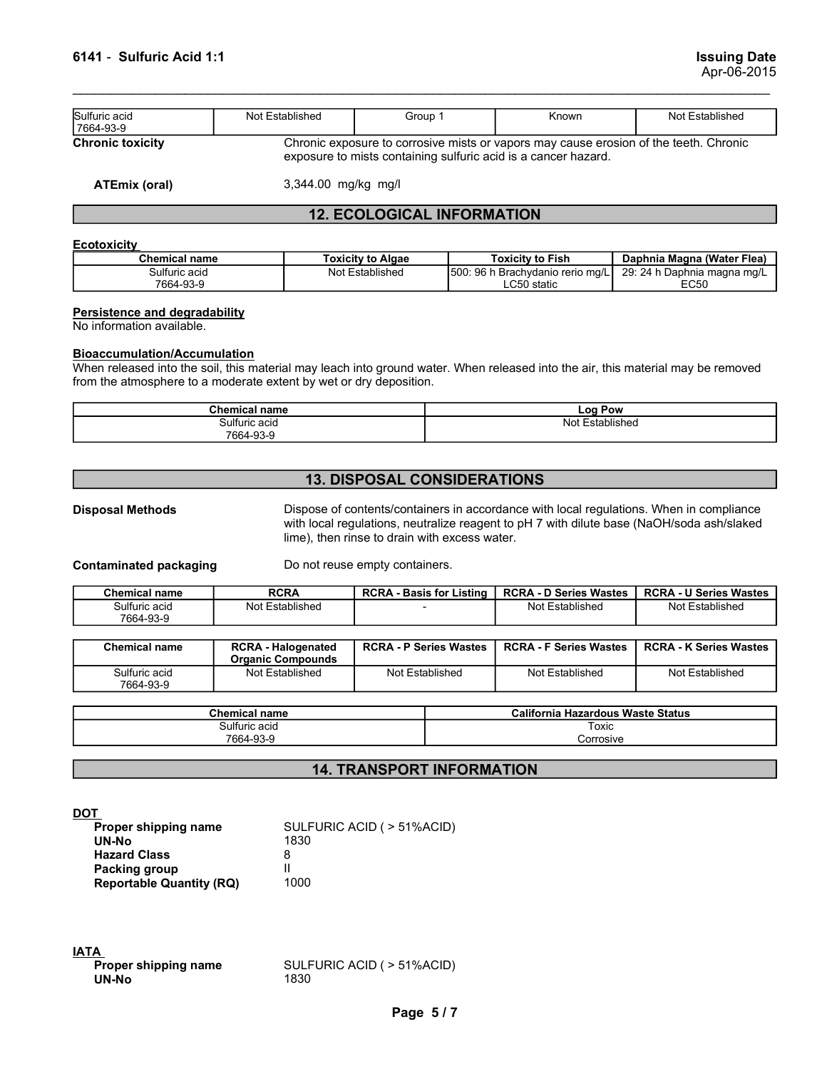| 6141 - Sulfuric Acid 1:1                                          |                                                                                                                                                                                                        |                                    |                                                                | <b>Issuing Date</b><br>Apr-06-2015                                                    |
|-------------------------------------------------------------------|--------------------------------------------------------------------------------------------------------------------------------------------------------------------------------------------------------|------------------------------------|----------------------------------------------------------------|---------------------------------------------------------------------------------------|
| Sulfuric acid<br>7664-93-9                                        | Not Established                                                                                                                                                                                        | Group 1                            | Known                                                          | Not Established                                                                       |
| <b>Chronic toxicity</b>                                           |                                                                                                                                                                                                        |                                    | exposure to mists containing sulfuric acid is a cancer hazard. | Chronic exposure to corrosive mists or vapors may cause erosion of the teeth. Chronic |
| <b>ATEmix (oral)</b>                                              | 3,344.00 mg/kg mg/l                                                                                                                                                                                    |                                    |                                                                |                                                                                       |
|                                                                   |                                                                                                                                                                                                        | <b>12. ECOLOGICAL INFORMATION</b>  |                                                                |                                                                                       |
| <b>Ecotoxicity</b>                                                |                                                                                                                                                                                                        |                                    |                                                                |                                                                                       |
| <b>Chemical name</b>                                              |                                                                                                                                                                                                        | <b>Toxicity to Algae</b>           | <b>Toxicity to Fish</b>                                        | Daphnia Magna (Water Flea)                                                            |
| Sulfuric acid<br>7664-93-9                                        |                                                                                                                                                                                                        | Not Established                    | 500: 96 h Brachydanio rerio mg/L<br>LC50 static                | 29: 24 h Daphnia magna mg/L<br><b>EC50</b>                                            |
| <b>Persistence and degradability</b><br>No information available. |                                                                                                                                                                                                        |                                    |                                                                |                                                                                       |
| <b>Bioaccumulation/Accumulation</b>                               | When released into the soil, this material may leach into ground water. When released into the air, this material may be removed<br>from the atmosphere to a moderate extent by wet or dry deposition. |                                    |                                                                |                                                                                       |
|                                                                   | <b>Chemical name</b>                                                                                                                                                                                   |                                    | Log Pow                                                        |                                                                                       |
|                                                                   | Sulfuric acid                                                                                                                                                                                          |                                    | Not Established                                                |                                                                                       |
|                                                                   | 7664-93-9                                                                                                                                                                                              |                                    |                                                                |                                                                                       |
|                                                                   |                                                                                                                                                                                                        | <b>13. DISPOSAL CONSIDERATIONS</b> |                                                                |                                                                                       |
|                                                                   |                                                                                                                                                                                                        |                                    |                                                                |                                                                                       |

# 12. ECOLOGICAL INFORMATION

|                                                            |                                                                    |                                               | exposure to mists containing sulfuric acid is a cancer hazard.                                                                                                                       |                                            |  |
|------------------------------------------------------------|--------------------------------------------------------------------|-----------------------------------------------|--------------------------------------------------------------------------------------------------------------------------------------------------------------------------------------|--------------------------------------------|--|
| <b>ATEmix (oral)</b>                                       | 3,344.00 mg/kg mg/l                                                |                                               |                                                                                                                                                                                      |                                            |  |
|                                                            |                                                                    | <b>12. ECOLOGICAL INFORMATION</b>             |                                                                                                                                                                                      |                                            |  |
| <b>Ecotoxicity</b>                                         |                                                                    |                                               |                                                                                                                                                                                      |                                            |  |
| <b>Chemical name</b>                                       |                                                                    | <b>Toxicity to Algae</b>                      | <b>Toxicity to Fish</b>                                                                                                                                                              | Daphnia Magna (Water Flea)                 |  |
| Sulfuric acid<br>7664-93-9                                 |                                                                    | Not Established                               | 500: 96 h Brachydanio rerio mg/L<br>LC50 static                                                                                                                                      | 29: 24 h Daphnia magna mg/L<br><b>EC50</b> |  |
| Persistence and degradability<br>No information available. |                                                                    |                                               |                                                                                                                                                                                      |                                            |  |
| <b>Bioaccumulation/Accumulation</b>                        | from the atmosphere to a moderate extent by wet or dry deposition. |                                               | When released into the soil, this material may leach into ground water. When released into the air, this material may be removed                                                     |                                            |  |
|                                                            |                                                                    |                                               |                                                                                                                                                                                      |                                            |  |
|                                                            | <b>Chemical name</b>                                               |                                               | Log Pow                                                                                                                                                                              |                                            |  |
|                                                            | Sulfuric acid<br>7664-93-9                                         |                                               | Not Established                                                                                                                                                                      |                                            |  |
|                                                            |                                                                    |                                               |                                                                                                                                                                                      |                                            |  |
|                                                            |                                                                    | <b>13. DISPOSAL CONSIDERATIONS</b>            |                                                                                                                                                                                      |                                            |  |
| <b>Disposal Methods</b>                                    |                                                                    | lime), then rinse to drain with excess water. | Dispose of contents/containers in accordance with local regulations. When in compliance<br>with local regulations, neutralize reagent to pH 7 with dilute base (NaOH/soda ash/slaked |                                            |  |
| <b>Contaminated packaging</b>                              |                                                                    | Do not reuse empty containers.                |                                                                                                                                                                                      |                                            |  |
| <b>Chemical name</b>                                       | <b>RCRA</b>                                                        | <b>RCRA - Basis for Listing</b>               | <b>RCRA - D Series Wastes</b>                                                                                                                                                        | <b>RCRA - U Series Wastes</b>              |  |
| Sulfuric acid<br>7664-93-9                                 | Not Established                                                    |                                               | Not Established                                                                                                                                                                      | Not Established                            |  |

### Bioaccumulation/Accumulation

| $\sim$<br>.hemical ∶<br>name | <b>Log Pow</b>     |  |
|------------------------------|--------------------|--|
| ulfuric acid                 | Established<br>Not |  |
| 7664-93-9                    |                    |  |

## 13. DISPOSAL CONSIDERATIONS

|                                                                    |                      | <b>12. ECOLOGICAL INFORMATION</b>             |                                                 |                                                                                                                                  |
|--------------------------------------------------------------------|----------------------|-----------------------------------------------|-------------------------------------------------|----------------------------------------------------------------------------------------------------------------------------------|
| <b>Ecotoxicity</b>                                                 |                      |                                               |                                                 |                                                                                                                                  |
| <b>Chemical name</b>                                               |                      | <b>Toxicity to Algae</b>                      | <b>Toxicity to Fish</b>                         | Daphnia Magna (Water Flea)                                                                                                       |
| Sulfuric acid<br>7664-93-9                                         |                      | Not Established                               | 500: 96 h Brachydanio rerio mg/L<br>LC50 static | 29: 24 h Daphnia magna mg/L<br>EC <sub>50</sub>                                                                                  |
| Persistence and degradability                                      |                      |                                               |                                                 |                                                                                                                                  |
| No information available.                                          |                      |                                               |                                                 |                                                                                                                                  |
| <b>Bioaccumulation/Accumulation</b>                                |                      |                                               |                                                 |                                                                                                                                  |
|                                                                    |                      |                                               |                                                 | When released into the soil, this material may leach into ground water. When released into the air, this material may be removed |
| from the atmosphere to a moderate extent by wet or dry deposition. |                      |                                               |                                                 |                                                                                                                                  |
|                                                                    | <b>Chemical name</b> |                                               | Log Pow                                         |                                                                                                                                  |
|                                                                    | Sulfuric acid        |                                               | Not Established                                 |                                                                                                                                  |
|                                                                    | 7664-93-9            |                                               |                                                 |                                                                                                                                  |
|                                                                    |                      |                                               |                                                 |                                                                                                                                  |
|                                                                    |                      | <b>13. DISPOSAL CONSIDERATIONS</b>            |                                                 |                                                                                                                                  |
| <b>Disposal Methods</b>                                            |                      |                                               |                                                 | Dispose of contents/containers in accordance with local regulations. When in compliance                                          |
|                                                                    |                      |                                               |                                                 | with local regulations, neutralize reagent to pH 7 with dilute base (NaOH/soda ash/slaked                                        |
|                                                                    |                      | lime), then rinse to drain with excess water. |                                                 |                                                                                                                                  |
| <b>Contaminated packaging</b>                                      |                      | Do not reuse empty containers.                |                                                 |                                                                                                                                  |
| <b>Chemical name</b>                                               | <b>RCRA</b>          | <b>RCRA - Basis for Listing</b>               | <b>RCRA - D Series Wastes</b>                   | <b>RCRA - U Series Wastes</b>                                                                                                    |
|                                                                    |                      |                                               |                                                 |                                                                                                                                  |
| Sulfuric acid<br>7664-93-9                                         | Not Established      |                                               | Not Established                                 | Not Established                                                                                                                  |

| <b>Toxicity to Algae</b><br><b>Toxicity to Fish</b><br>Daphnia Magna (Water Flea)<br><b>Chemical name</b><br>Not Established<br>500: 96 h Brachydanio rerio mg/L<br>29: 24 h Daphnia magna mg/L<br>Sulfuric acid<br>7664-93-9<br>LC50 static<br><b>EC50</b><br>Persistence and degradability<br><b>Bioaccumulation/Accumulation</b><br>When released into the soil, this material may leach into ground water. When released into the air, this material may be removed<br>from the atmosphere to a moderate extent by wet or dry deposition.<br><b>Chemical name</b><br><b>Log Pow</b><br>Sulfuric acid<br>Not Established<br>7664-93-9<br><b>13. DISPOSAL CONSIDERATIONS</b><br>Dispose of contents/containers in accordance with local regulations. When in compliance<br>with local regulations, neutralize reagent to pH 7 with dilute base (NaOH/soda ash/slaked<br>lime), then rinse to drain with excess water.<br><b>Contaminated packaging</b><br>Do not reuse empty containers.<br><b>RCRA</b><br><b>Chemical name</b><br><b>RCRA - D Series Wastes</b><br><b>RCRA - Basis for Listing</b><br>Not Established<br>Not Established<br>Sulfuric acid<br>Not Established<br>7664-93-9<br><b>RCRA - Halogenated</b><br><b>RCRA - F Series Wastes</b><br><b>Chemical name</b><br><b>RCRA - P Series Wastes</b><br><b>Organic Compounds</b><br>Sulfuric acid<br>Not Established<br>Not Established<br>Not Established<br>Not Established<br>7664-93-9<br><b>California Hazardous Waste Status</b><br><b>Chemical name</b><br>Sulfuric acid<br>Toxic<br>7664-93-9<br>Corrosive<br><b>14. TRANSPORT INFORMATION</b><br>SULFURIC ACID ( > 51%ACID)<br>Proper shipping name<br>UN-No<br>1830<br><b>Hazard Class</b><br>8<br>$\mathsf{II}$<br><b>Packing group</b><br>1000<br><b>Reportable Quantity (RQ)</b><br>SULFURIC ACID ( > 51%ACID)<br>Proper shipping name<br>1830<br>UN-No<br>Page 5/7 | <b>Ecotoxicity</b>        |  |  |  |
|-------------------------------------------------------------------------------------------------------------------------------------------------------------------------------------------------------------------------------------------------------------------------------------------------------------------------------------------------------------------------------------------------------------------------------------------------------------------------------------------------------------------------------------------------------------------------------------------------------------------------------------------------------------------------------------------------------------------------------------------------------------------------------------------------------------------------------------------------------------------------------------------------------------------------------------------------------------------------------------------------------------------------------------------------------------------------------------------------------------------------------------------------------------------------------------------------------------------------------------------------------------------------------------------------------------------------------------------------------------------------------------------------------------------------------------------------------------------------------------------------------------------------------------------------------------------------------------------------------------------------------------------------------------------------------------------------------------------------------------------------------------------------------------------------------------------------------------------------------------------------------------------------|---------------------------|--|--|--|
|                                                                                                                                                                                                                                                                                                                                                                                                                                                                                                                                                                                                                                                                                                                                                                                                                                                                                                                                                                                                                                                                                                                                                                                                                                                                                                                                                                                                                                                                                                                                                                                                                                                                                                                                                                                                                                                                                                 |                           |  |  |  |
|                                                                                                                                                                                                                                                                                                                                                                                                                                                                                                                                                                                                                                                                                                                                                                                                                                                                                                                                                                                                                                                                                                                                                                                                                                                                                                                                                                                                                                                                                                                                                                                                                                                                                                                                                                                                                                                                                                 |                           |  |  |  |
| <b>RCRA - U Series Wastes</b><br><b>RCRA - K Series Wastes</b>                                                                                                                                                                                                                                                                                                                                                                                                                                                                                                                                                                                                                                                                                                                                                                                                                                                                                                                                                                                                                                                                                                                                                                                                                                                                                                                                                                                                                                                                                                                                                                                                                                                                                                                                                                                                                                  | No information available. |  |  |  |
|                                                                                                                                                                                                                                                                                                                                                                                                                                                                                                                                                                                                                                                                                                                                                                                                                                                                                                                                                                                                                                                                                                                                                                                                                                                                                                                                                                                                                                                                                                                                                                                                                                                                                                                                                                                                                                                                                                 |                           |  |  |  |
|                                                                                                                                                                                                                                                                                                                                                                                                                                                                                                                                                                                                                                                                                                                                                                                                                                                                                                                                                                                                                                                                                                                                                                                                                                                                                                                                                                                                                                                                                                                                                                                                                                                                                                                                                                                                                                                                                                 |                           |  |  |  |
|                                                                                                                                                                                                                                                                                                                                                                                                                                                                                                                                                                                                                                                                                                                                                                                                                                                                                                                                                                                                                                                                                                                                                                                                                                                                                                                                                                                                                                                                                                                                                                                                                                                                                                                                                                                                                                                                                                 |                           |  |  |  |
|                                                                                                                                                                                                                                                                                                                                                                                                                                                                                                                                                                                                                                                                                                                                                                                                                                                                                                                                                                                                                                                                                                                                                                                                                                                                                                                                                                                                                                                                                                                                                                                                                                                                                                                                                                                                                                                                                                 |                           |  |  |  |
|                                                                                                                                                                                                                                                                                                                                                                                                                                                                                                                                                                                                                                                                                                                                                                                                                                                                                                                                                                                                                                                                                                                                                                                                                                                                                                                                                                                                                                                                                                                                                                                                                                                                                                                                                                                                                                                                                                 | <b>Disposal Methods</b>   |  |  |  |
|                                                                                                                                                                                                                                                                                                                                                                                                                                                                                                                                                                                                                                                                                                                                                                                                                                                                                                                                                                                                                                                                                                                                                                                                                                                                                                                                                                                                                                                                                                                                                                                                                                                                                                                                                                                                                                                                                                 |                           |  |  |  |
|                                                                                                                                                                                                                                                                                                                                                                                                                                                                                                                                                                                                                                                                                                                                                                                                                                                                                                                                                                                                                                                                                                                                                                                                                                                                                                                                                                                                                                                                                                                                                                                                                                                                                                                                                                                                                                                                                                 |                           |  |  |  |
|                                                                                                                                                                                                                                                                                                                                                                                                                                                                                                                                                                                                                                                                                                                                                                                                                                                                                                                                                                                                                                                                                                                                                                                                                                                                                                                                                                                                                                                                                                                                                                                                                                                                                                                                                                                                                                                                                                 |                           |  |  |  |
|                                                                                                                                                                                                                                                                                                                                                                                                                                                                                                                                                                                                                                                                                                                                                                                                                                                                                                                                                                                                                                                                                                                                                                                                                                                                                                                                                                                                                                                                                                                                                                                                                                                                                                                                                                                                                                                                                                 |                           |  |  |  |
|                                                                                                                                                                                                                                                                                                                                                                                                                                                                                                                                                                                                                                                                                                                                                                                                                                                                                                                                                                                                                                                                                                                                                                                                                                                                                                                                                                                                                                                                                                                                                                                                                                                                                                                                                                                                                                                                                                 |                           |  |  |  |
|                                                                                                                                                                                                                                                                                                                                                                                                                                                                                                                                                                                                                                                                                                                                                                                                                                                                                                                                                                                                                                                                                                                                                                                                                                                                                                                                                                                                                                                                                                                                                                                                                                                                                                                                                                                                                                                                                                 |                           |  |  |  |
|                                                                                                                                                                                                                                                                                                                                                                                                                                                                                                                                                                                                                                                                                                                                                                                                                                                                                                                                                                                                                                                                                                                                                                                                                                                                                                                                                                                                                                                                                                                                                                                                                                                                                                                                                                                                                                                                                                 |                           |  |  |  |
|                                                                                                                                                                                                                                                                                                                                                                                                                                                                                                                                                                                                                                                                                                                                                                                                                                                                                                                                                                                                                                                                                                                                                                                                                                                                                                                                                                                                                                                                                                                                                                                                                                                                                                                                                                                                                                                                                                 | <b>DOT</b>                |  |  |  |
|                                                                                                                                                                                                                                                                                                                                                                                                                                                                                                                                                                                                                                                                                                                                                                                                                                                                                                                                                                                                                                                                                                                                                                                                                                                                                                                                                                                                                                                                                                                                                                                                                                                                                                                                                                                                                                                                                                 | <b>IATA</b>               |  |  |  |

|                                 | Organic Compounds    |                                  |                                          |                 |
|---------------------------------|----------------------|----------------------------------|------------------------------------------|-----------------|
| Sulfuric acid<br>7664-93-9      | Not Established      | Not Established                  | Not Established                          | Not Established |
|                                 | <b>Chemical name</b> |                                  | <b>California Hazardous Waste Status</b> |                 |
|                                 | Sulfuric acid        |                                  | Toxic                                    |                 |
|                                 | 7664-93-9            |                                  | Corrosive                                |                 |
|                                 |                      |                                  |                                          |                 |
|                                 |                      | <b>14. TRANSPORT INFORMATION</b> |                                          |                 |
|                                 |                      |                                  |                                          |                 |
| <b>DOT</b>                      |                      |                                  |                                          |                 |
| Proper shipping name            |                      | SULFURIC ACID ( > 51%ACID)       |                                          |                 |
| UN-No                           | 1830                 |                                  |                                          |                 |
| <b>Hazard Class</b>             | 8                    |                                  |                                          |                 |
| Packing group                   | Ш                    |                                  |                                          |                 |
| <b>Reportable Quantity (RQ)</b> | 1000                 |                                  |                                          |                 |
|                                 |                      |                                  |                                          |                 |
| <b>IATA</b>                     |                      |                                  |                                          |                 |
| Proper shipping name<br>UN-No   | 1830                 | SULFURIC ACID ( > 51%ACID)       |                                          |                 |
|                                 |                      | Page 5/7                         |                                          |                 |
|                                 |                      |                                  |                                          |                 |
|                                 |                      |                                  |                                          |                 |

# 14. TRANSPORT INFORMATION

| DOT                             |                             |  |
|---------------------------------|-----------------------------|--|
| Proper shipping name            | SULFURIC ACID ( > 51% ACID) |  |
| UN-No                           | 1830                        |  |
| <b>Hazard Class</b>             |                             |  |
| Packing group                   |                             |  |
| <b>Reportable Quantity (RQ)</b> | 1000                        |  |

| IATA                          |                                     |  |
|-------------------------------|-------------------------------------|--|
| Proper shipping name<br>UN-No | SULFURIC ACID ( > 51% ACID)<br>1830 |  |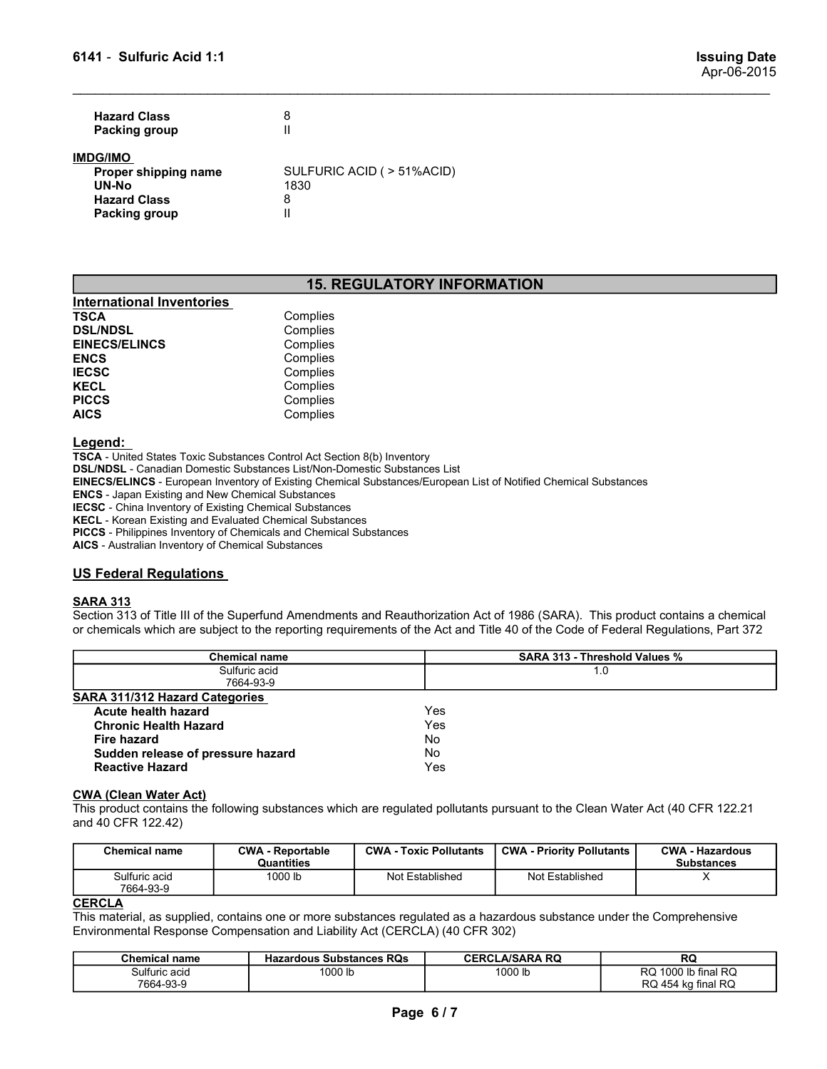| 6141 - Sulfuric Acid 1:1             |                         |  | <b>Issuing Date</b><br>Apr-06-2015 |
|--------------------------------------|-------------------------|--|------------------------------------|
| <b>Hazard Class</b><br>Packing group | $\bf 8$<br>$\mathbf{I}$ |  |                                    |
|                                      |                         |  |                                    |

### IMDG/IMO

| <b>Hazard Class</b><br>8<br>$\mathsf{I}\mathsf{I}$<br>Packing group                                       | <b>Issuing Date</b><br>Apr-06-2015 |
|-----------------------------------------------------------------------------------------------------------|------------------------------------|
| SULFURIC ACID ( > 51%ACID)<br>Proper shipping name<br>UN-No<br>1830                                       |                                    |
| 6141 - Sulfuric Acid 1:1<br><b>IMDG/IMO</b><br><b>Hazard Class</b><br>8<br>$\mathbf{II}$<br>Packing group |                                    |

## 15. REGULATORY INFORMATION

| 6141 - Sulfuric Acid 1:1                                                                        |                                                         |
|-------------------------------------------------------------------------------------------------|---------------------------------------------------------|
| <b>Hazard Class</b><br><b>Packing group</b>                                                     | 8<br>$\mathbf{I}$                                       |
| <b>IMDG/IMO</b><br>Proper shipping name<br>UN-No<br><b>Hazard Class</b><br><b>Packing group</b> | SULFURIC ACID ( > 51%ACID)<br>1830<br>8<br>$\mathbf{I}$ |
|                                                                                                 | <b>15. REGULATORY INFORMATION</b>                       |
| <b>International Inventories</b>                                                                |                                                         |
| <b>TSCA</b>                                                                                     | Complies                                                |
| <b>DSL/NDSL</b>                                                                                 | Complies                                                |
| <b>EINECS/ELINCS</b>                                                                            | Complies                                                |
| <b>ENCS</b><br><b>IECSC</b>                                                                     | Complies<br>Complies                                    |
| <b>KECL</b>                                                                                     | Complies                                                |
| <b>PICCS</b>                                                                                    | Complies                                                |
| <b>AICS</b>                                                                                     | Complies                                                |

### Legend:

TSCA - United States Toxic Substances Control Act Section 8(b) Inventory DSL/NDSL - Canadian Domestic Substances List/Non-Domestic Substances List EINECS/ELINCS - European Inventory of Existing Chemical Substances/European List of Notified Chemical Substances ENCS - Japan Existing and New Chemical Substances IECSC - China Inventory of Existing Chemical Substances KECL - Korean Existing and Evaluated Chemical Substances PICCS - Philippines Inventory of Chemicals and Chemical Substances 15. REGULATORY INFORMATION<br>
INternational Inventories<br>
ISCA<br>
ENECS/ELINCS<br>
ENECS/ELINCS<br>
ENECS/ELINCS<br>
ENECS<br>
ENECS<br>
ENECS<br>
ENECS<br>
ENECS<br>
ISCA<br>
USES<br>
ISCA<br>
USES<br>
ISCA<br>
USES<br>
ISCA<br>
USES<br>
USES<br>
USES<br>
USES<br>
USES - Applies<br>
IN **SECTION METATION 115 OF THE SUPER ACTES COMPRESSEDS COMPRESSED COMPRESSEDNATION COMPRESSEDNATION COMPRESSEDNATION COMPRESSEDNATION COMPRESSEDNATION COMPRESSEDNATION COMPRESSEDNATION COMPRESSEDNATION COMPRESSEDNATION CONTA or chemical international Inventories.**<br> **TSCA Complies**<br> **Chemics Complies**<br> **ENCS Complies**<br> **ENCS**<br> **ENCS**<br> **ENCS**<br> **COMPRISE COMPRISE COMPRISE COMPRISE<br>
<b>LEGGS**<br> **COMPRISE CONTINUAL COMPRISE CONTINUAL COMPRISE**<br> **COMP** 

### SARA 313

| <b>Chemical name</b><br>Sulfuric acid<br>7664-93-9                                |                                                                                                                                                                                                                                                                                  |                                    |                                                                   |                                             |                                             |
|-----------------------------------------------------------------------------------|----------------------------------------------------------------------------------------------------------------------------------------------------------------------------------------------------------------------------------------------------------------------------------|------------------------------------|-------------------------------------------------------------------|---------------------------------------------|---------------------------------------------|
|                                                                                   |                                                                                                                                                                                                                                                                                  |                                    |                                                                   |                                             | RQ 454 kg final RQ                          |
|                                                                                   | <b>Hazardous Substances RQs</b><br>1000 lb                                                                                                                                                                                                                                       |                                    |                                                                   | <b>CERCLA/SARA RQ</b><br>1000 lb            | RQ<br>RQ 1000 lb final RQ                   |
| <b>CERCLA</b>                                                                     | This material, as supplied, contains one or more substances regulated as a hazardous substance under the Comprehensive<br>Environmental Response Compensation and Liability Act (CERCLA) (40 CFR 302)                                                                            |                                    |                                                                   |                                             |                                             |
| Sulfuric acid<br>7664-93-9                                                        | 1000 lb                                                                                                                                                                                                                                                                          | Not Established<br>Not Established |                                                                   | X                                           |                                             |
| <b>Chemical name</b>                                                              | <b>CWA - Reportable</b><br>Quantities                                                                                                                                                                                                                                            |                                    | <b>CWA - Priority Pollutants</b><br><b>CWA - Toxic Pollutants</b> |                                             | <b>CWA - Hazardous</b><br><b>Substances</b> |
| <b>CWA (Clean Water Act)</b><br>and 40 CFR 122.42)                                | This product contains the following substances which are regulated pollutants pursuant to the Clean Water Act (40 CFR 122.21                                                                                                                                                     |                                    |                                                                   |                                             |                                             |
| <b>Fire hazard</b><br>Sudden release of pressure hazard<br><b>Reactive Hazard</b> |                                                                                                                                                                                                                                                                                  |                                    | No<br>No<br>Yes                                                   |                                             |                                             |
| Acute health hazard<br><b>Chronic Health Hazard</b>                               |                                                                                                                                                                                                                                                                                  |                                    | Yes                                                               |                                             |                                             |
| <b>SARA 311/312 Hazard Categories</b>                                             |                                                                                                                                                                                                                                                                                  |                                    | Yes                                                               |                                             |                                             |
|                                                                                   | 7664-93-9                                                                                                                                                                                                                                                                        |                                    |                                                                   |                                             |                                             |
|                                                                                   | <b>Chemical name</b><br>Sulfuric acid                                                                                                                                                                                                                                            |                                    |                                                                   | <b>SARA 313 - Threshold Values %</b><br>1.0 |                                             |
| <b>SARA 313</b>                                                                   | Section 313 of Title III of the Superfund Amendments and Reauthorization Act of 1986 (SARA). This product contains a chemical<br>or chemicals which are subject to the reporting requirements of the Act and Title 40 of the Code of Federal Regulations, Part 372               |                                    |                                                                   |                                             |                                             |
| <b>US Federal Regulations</b>                                                     |                                                                                                                                                                                                                                                                                  |                                    |                                                                   |                                             |                                             |
| AICS - Australian Inventory of Chemical Substances                                | <b>IECSC</b> - China Inventory of Existing Chemical Substances<br>KECL - Korean Existing and Evaluated Chemical Substances<br>PICCS - Philippines Inventory of Chemicals and Chemical Substances                                                                                 |                                    |                                                                   |                                             |                                             |
| Legend:<br><b>ENCS</b> - Japan Existing and New Chemical Substances               | TSCA - United States Toxic Substances Control Act Section 8(b) Inventory<br><b>DSL/NDSL</b> - Canadian Domestic Substances List/Non-Domestic Substances List<br>EINECS/ELINCS - European Inventory of Existing Chemical Substances/European List of Notified Chemical Substances |                                    |                                                                   |                                             |                                             |
| <b>AICS</b>                                                                       | Complies                                                                                                                                                                                                                                                                         |                                    |                                                                   |                                             |                                             |
| <b>PICCS</b>                                                                      | Complies                                                                                                                                                                                                                                                                         |                                    |                                                                   |                                             |                                             |
| <b>IECSC</b><br><b>KECL</b>                                                       | Complies<br>Complies                                                                                                                                                                                                                                                             |                                    |                                                                   |                                             |                                             |
| <b>ENCS</b>                                                                       | Complies                                                                                                                                                                                                                                                                         |                                    |                                                                   |                                             |                                             |
| <b>EINECS/ELINCS</b>                                                              | Complies                                                                                                                                                                                                                                                                         |                                    |                                                                   |                                             |                                             |
|                                                                                   | Complies<br>Complies                                                                                                                                                                                                                                                             |                                    |                                                                   |                                             |                                             |
| <b>TSCA</b><br><b>DSL/NDSL</b>                                                    |                                                                                                                                                                                                                                                                                  |                                    |                                                                   |                                             |                                             |

| <b>Chemical name</b>       | <b>CWA - Reportable</b><br>Quantities | <b>CWA - Toxic Pollutants</b> | <b>CWA - Priority Pollutants</b> | <b>CWA - Hazardous</b><br><b>Substances</b> |
|----------------------------|---------------------------------------|-------------------------------|----------------------------------|---------------------------------------------|
| Sulfuric acid<br>7664-93-9 | 1000 lb                               | Not Established               | Not Established                  |                                             |

### **CERCLA**

| Chemical name | <b>Hazardous Substances RQs</b> | LA/SARA RQ<br>CERCI | п,<br>אש                                                       |
|---------------|---------------------------------|---------------------|----------------------------------------------------------------|
| Sulfuric acid | 1000 lk                         | 1000 lb             | $\overline{D}$<br>1000<br><sub>n</sub><br>lb final<br>אש<br>שה |
| 7664-93-9     |                                 |                     | ka final RQ<br>$D$ $\cap$ $A$ $E$ $A$ $L$<br>454.<br>שע        |